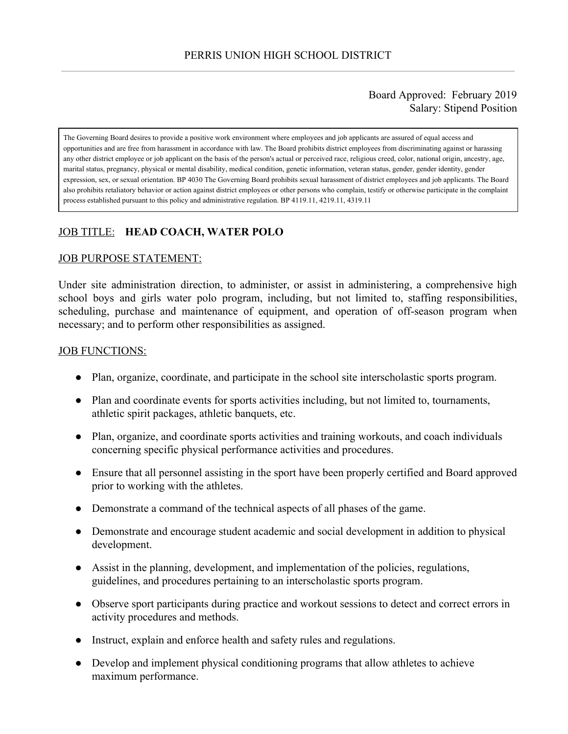### Board Approved: February 2019 Salary: Stipend Position

The Governing Board desires to provide a positive work environment where employees and job applicants are assured of equal access and opportunities and are free from harassment in accordance with law. The Board prohibits district employees from discriminating against or harassing any other district employee or job applicant on the basis of the person's actual or perceived race, religious creed, color, national origin, ancestry, age, marital status, pregnancy, physical or mental disability, medical condition, genetic information, veteran status, gender, gender identity, gender expression, sex, or sexual orientation. BP 4030 The Governing Board prohibits sexual harassment of district employees and job applicants. The Board also prohibits retaliatory behavior or action against district employees or other persons who complain, testify or otherwise participate in the complaint process established pursuant to this policy and administrative regulation. BP 4119.11, 4219.11, 4319.11

# JOB TITLE: **HEAD COACH, WATER POLO**

#### JOB PURPOSE STATEMENT:

Under site administration direction, to administer, or assist in administering, a comprehensive high school boys and girls water polo program, including, but not limited to, staffing responsibilities, scheduling, purchase and maintenance of equipment, and operation of off-season program when necessary; and to perform other responsibilities as assigned.

#### JOB FUNCTIONS:

- Plan, organize, coordinate, and participate in the school site interscholastic sports program.
- Plan and coordinate events for sports activities including, but not limited to, tournaments, athletic spirit packages, athletic banquets, etc.
- Plan, organize, and coordinate sports activities and training workouts, and coach individuals concerning specific physical performance activities and procedures.
- Ensure that all personnel assisting in the sport have been properly certified and Board approved prior to working with the athletes.
- Demonstrate a command of the technical aspects of all phases of the game.
- Demonstrate and encourage student academic and social development in addition to physical development.
- Assist in the planning, development, and implementation of the policies, regulations, guidelines, and procedures pertaining to an interscholastic sports program.
- Observe sport participants during practice and workout sessions to detect and correct errors in activity procedures and methods.
- Instruct, explain and enforce health and safety rules and regulations.
- Develop and implement physical conditioning programs that allow athletes to achieve maximum performance.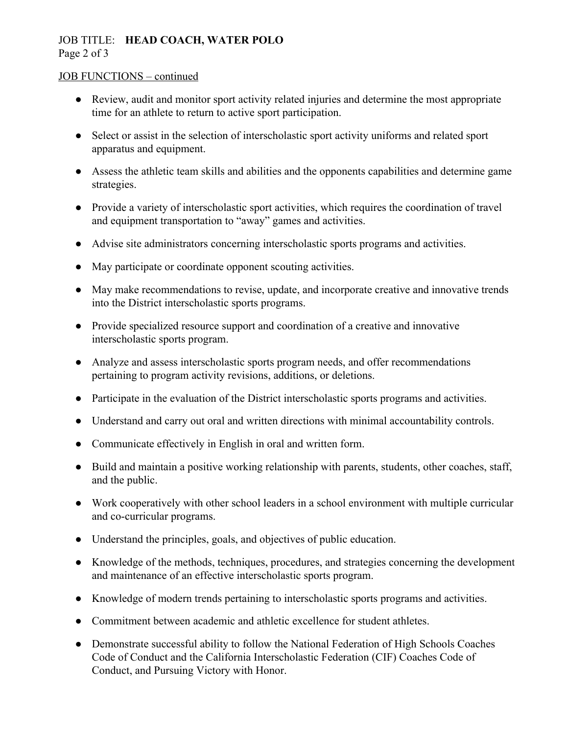### JOB TITLE: **HEAD COACH, WATER POLO** Page 2 of 3

### JOB FUNCTIONS – continued

- Review, audit and monitor sport activity related injuries and determine the most appropriate time for an athlete to return to active sport participation.
- Select or assist in the selection of interscholastic sport activity uniforms and related sport apparatus and equipment.
- Assess the athletic team skills and abilities and the opponents capabilities and determine game strategies.
- Provide a variety of interscholastic sport activities, which requires the coordination of travel and equipment transportation to "away" games and activities.
- Advise site administrators concerning interscholastic sports programs and activities.
- May participate or coordinate opponent scouting activities.
- May make recommendations to revise, update, and incorporate creative and innovative trends into the District interscholastic sports programs.
- Provide specialized resource support and coordination of a creative and innovative interscholastic sports program.
- Analyze and assess interscholastic sports program needs, and offer recommendations pertaining to program activity revisions, additions, or deletions.
- Participate in the evaluation of the District interscholastic sports programs and activities.
- Understand and carry out oral and written directions with minimal accountability controls.
- Communicate effectively in English in oral and written form.
- Build and maintain a positive working relationship with parents, students, other coaches, staff, and the public.
- Work cooperatively with other school leaders in a school environment with multiple curricular and co-curricular programs.
- Understand the principles, goals, and objectives of public education.
- Knowledge of the methods, techniques, procedures, and strategies concerning the development and maintenance of an effective interscholastic sports program.
- Knowledge of modern trends pertaining to interscholastic sports programs and activities.
- Commitment between academic and athletic excellence for student athletes.
- Demonstrate successful ability to follow the National Federation of High Schools Coaches Code of Conduct and the California Interscholastic Federation (CIF) Coaches Code of Conduct, and Pursuing Victory with Honor.